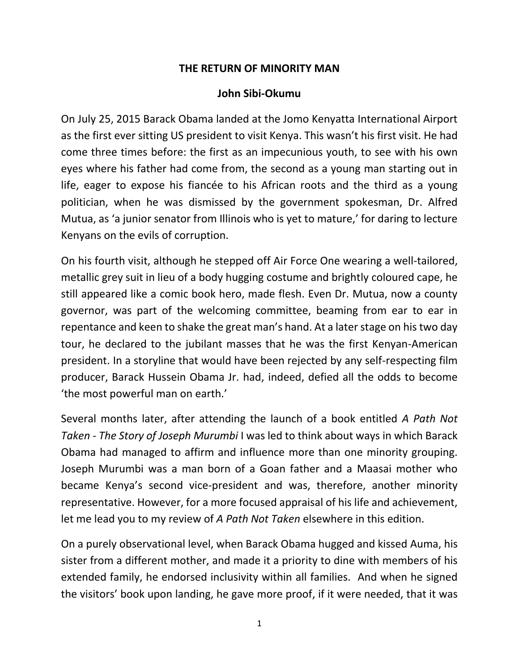## **THE RETURN OF MINORITY MAN**

## **John Sibi-Okumu**

On July 25, 2015 Barack Obama landed at the Jomo Kenyatta International Airport as the first ever sitting US president to visit Kenya. This wasn't his first visit. He had come three times before: the first as an impecunious youth, to see with his own eyes where his father had come from, the second as a young man starting out in life, eager to expose his fiancée to his African roots and the third as a young politician, when he was dismissed by the government spokesman, Dr. Alfred Mutua, as 'a junior senator from Illinois who is yet to mature,' for daring to lecture Kenyans on the evils of corruption.

On his fourth visit, although he stepped off Air Force One wearing a well-tailored, metallic grey suit in lieu of a body hugging costume and brightly coloured cape, he still appeared like a comic book hero, made flesh. Even Dr. Mutua, now a county governor, was part of the welcoming committee, beaming from ear to ear in repentance and keen to shake the great man's hand. At a later stage on his two day tour, he declared to the jubilant masses that he was the first Kenyan-American president. In a storyline that would have been rejected by any self-respecting film producer, Barack Hussein Obama Jr. had, indeed, defied all the odds to become 'the most powerful man on earth.'

Several months later, after attending the launch of a book entitled *A Path Not Taken - The Story of Joseph Murumbi* I was led to think about ways in which Barack Obama had managed to affirm and influence more than one minority grouping. Joseph Murumbi was a man born of a Goan father and a Maasai mother who became Kenya's second vice-president and was, therefore, another minority representative. However, for a more focused appraisal of his life and achievement, let me lead you to my review of *A Path Not Taken* elsewhere in this edition.

On a purely observational level, when Barack Obama hugged and kissed Auma, his sister from a different mother, and made it a priority to dine with members of his extended family, he endorsed inclusivity within all families. And when he signed the visitors' book upon landing, he gave more proof, if it were needed, that it was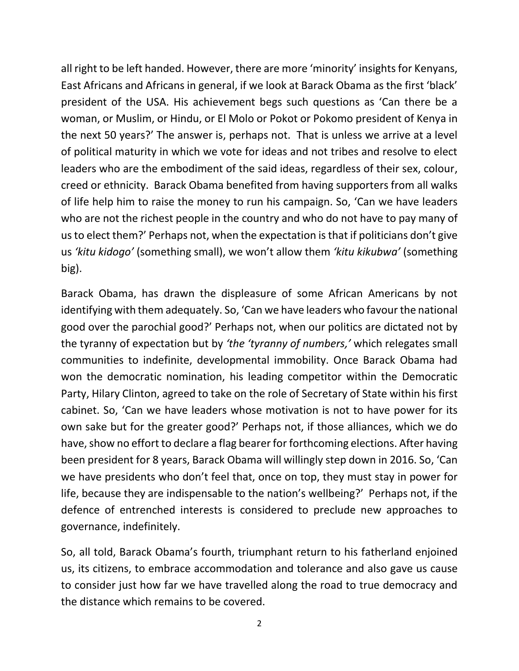all right to be left handed. However, there are more 'minority' insights for Kenyans, East Africans and Africans in general, if we look at Barack Obama as the first 'black' president of the USA. His achievement begs such questions as 'Can there be a woman, or Muslim, or Hindu, or El Molo or Pokot or Pokomo president of Kenya in the next 50 years?' The answer is, perhaps not. That is unless we arrive at a level of political maturity in which we vote for ideas and not tribes and resolve to elect leaders who are the embodiment of the said ideas, regardless of their sex, colour, creed or ethnicity. Barack Obama benefited from having supporters from all walks of life help him to raise the money to run his campaign. So, 'Can we have leaders who are not the richest people in the country and who do not have to pay many of us to elect them?' Perhaps not, when the expectation is that if politicians don't give us *'kitu kidogo'* (something small), we won't allow them *'kitu kikubwa'* (something big).

Barack Obama, has drawn the displeasure of some African Americans by not identifying with them adequately. So, 'Can we have leaders who favour the national good over the parochial good?' Perhaps not, when our politics are dictated not by the tyranny of expectation but by *'the 'tyranny of numbers,'* which relegates small communities to indefinite, developmental immobility. Once Barack Obama had won the democratic nomination, his leading competitor within the Democratic Party, Hilary Clinton, agreed to take on the role of Secretary of State within his first cabinet. So, 'Can we have leaders whose motivation is not to have power for its own sake but for the greater good?' Perhaps not, if those alliances, which we do have, show no effort to declare a flag bearer for forthcoming elections. After having been president for 8 years, Barack Obama will willingly step down in 2016. So, 'Can we have presidents who don't feel that, once on top, they must stay in power for life, because they are indispensable to the nation's wellbeing?' Perhaps not, if the defence of entrenched interests is considered to preclude new approaches to governance, indefinitely.

So, all told, Barack Obama's fourth, triumphant return to his fatherland enjoined us, its citizens, to embrace accommodation and tolerance and also gave us cause to consider just how far we have travelled along the road to true democracy and the distance which remains to be covered.